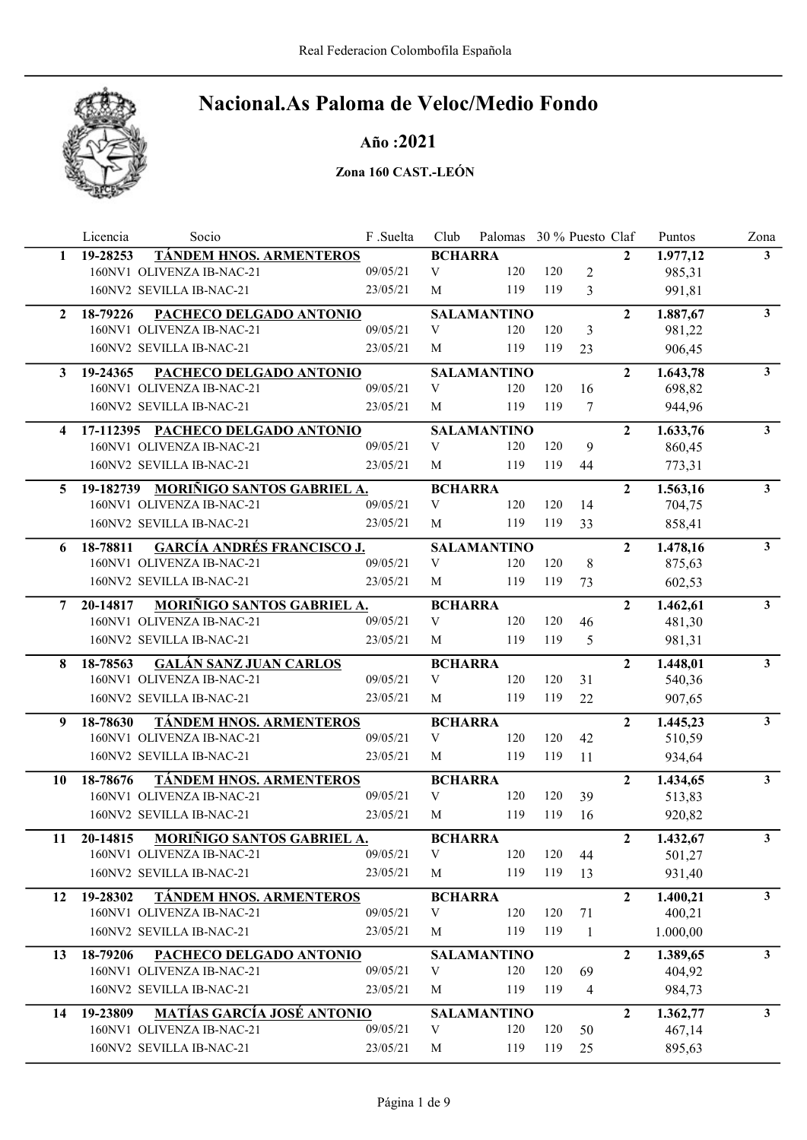

### Año :2021

|              | Licencia | Socio                                | F .Suelta | Club                      | Palomas 30 % Puesto Claf |     |                |                  | Puntos   | Zona           |
|--------------|----------|--------------------------------------|-----------|---------------------------|--------------------------|-----|----------------|------------------|----------|----------------|
| 1            | 19-28253 | TÁNDEM HNOS. ARMENTEROS              |           | <b>BCHARRA</b>            |                          |     |                | $\mathbf{2}$     | 1.977,12 | $\mathbf{3}$   |
|              |          | 160NV1 OLIVENZA IB-NAC-21            | 09/05/21  | V                         | 120                      | 120 | $\overline{2}$ |                  | 985,31   |                |
|              |          | 160NV2 SEVILLA IB-NAC-21             | 23/05/21  | M                         | 119                      | 119 | 3              |                  | 991,81   |                |
| $\mathbf{2}$ | 18-79226 | PACHECO DELGADO ANTONIO              |           |                           | <b>SALAMANTINO</b>       |     |                | $\overline{2}$   | 1.887,67 | $\mathbf{3}$   |
|              |          | 160NV1 OLIVENZA IB-NAC-21            | 09/05/21  | V                         | 120                      | 120 | 3              |                  | 981,22   |                |
|              |          | 160NV2 SEVILLA IB-NAC-21             | 23/05/21  | M                         | 119                      | 119 | 23             |                  | 906,45   |                |
| 3            | 19-24365 | PACHECO DELGADO ANTONIO              |           |                           | <b>SALAMANTINO</b>       |     |                | $\overline{2}$   | 1.643,78 | 3 <sup>7</sup> |
|              |          | 160NV1 OLIVENZA IB-NAC-21            | 09/05/21  | V                         | 120                      | 120 | 16             |                  | 698,82   |                |
|              |          | 160NV2 SEVILLA IB-NAC-21             | 23/05/21  | M                         | 119                      | 119 | $\tau$         |                  | 944,96   |                |
| 4            |          | 17-112395 PACHECO DELGADO ANTONIO    |           |                           | <b>SALAMANTINO</b>       |     |                | $\overline{2}$   | 1.633,76 | 3 <sup>1</sup> |
|              |          | 160NV1 OLIVENZA IB-NAC-21            | 09/05/21  | V                         | 120                      | 120 | 9              |                  | 860,45   |                |
|              |          | 160NV2 SEVILLA IB-NAC-21             | 23/05/21  | М                         | 119                      | 119 | 44             |                  | 773,31   |                |
| 5            |          | 19-182739 MORIÑIGO SANTOS GABRIEL A. |           | <b>BCHARRA</b>            |                          |     |                | $\overline{2}$   | 1.563,16 | $\mathbf{3}$   |
|              |          | 160NV1 OLIVENZA IB-NAC-21            | 09/05/21  | V                         | 120                      | 120 | 14             |                  | 704,75   |                |
|              |          | 160NV2 SEVILLA IB-NAC-21             | 23/05/21  | M                         | 119                      | 119 | 33             |                  | 858,41   |                |
| 6            | 18-78811 | <b>GARCÍA ANDRÉS FRANCISCO J.</b>    |           |                           | <b>SALAMANTINO</b>       |     |                | $\overline{2}$   | 1.478,16 | 3 <sup>7</sup> |
|              |          | 160NV1 OLIVENZA IB-NAC-21            | 09/05/21  | V                         | 120                      | 120 | 8              |                  | 875,63   |                |
|              |          | 160NV2 SEVILLA IB-NAC-21             | 23/05/21  | M                         | 119                      | 119 | 73             |                  | 602,53   |                |
| 7            | 20-14817 | MORIÑIGO SANTOS GABRIEL A.           |           | <b>BCHARRA</b>            |                          |     |                | $\overline{2}$   | 1.462,61 | 3 <sup>1</sup> |
|              |          | 160NV1 OLIVENZA IB-NAC-21            | 09/05/21  | V                         | 120                      | 120 | 46             |                  | 481,30   |                |
|              |          | 160NV2 SEVILLA IB-NAC-21             | 23/05/21  | M                         | 119                      | 119 | 5              |                  | 981,31   |                |
| 8            | 18-78563 | <b>GALÁN SANZ JUAN CARLOS</b>        |           | <b>BCHARRA</b>            |                          |     |                | $\overline{2}$   | 1.448,01 | 3 <sup>1</sup> |
|              |          | 160NV1 OLIVENZA IB-NAC-21            | 09/05/21  | V                         | 120                      | 120 | 31             |                  | 540,36   |                |
|              |          | 160NV2 SEVILLA IB-NAC-21             | 23/05/21  | M                         | 119                      | 119 | 22             |                  | 907,65   |                |
| 9            | 18-78630 | <b>TÁNDEM HNOS. ARMENTEROS</b>       |           | <b>BCHARRA</b>            |                          |     |                | $\overline{2}$   | 1.445,23 | $\mathbf{3}$   |
|              |          | 160NV1 OLIVENZA IB-NAC-21            | 09/05/21  | V                         | 120                      | 120 | 42             |                  | 510,59   |                |
|              |          | 160NV2 SEVILLA IB-NAC-21             | 23/05/21  | M                         | 119                      | 119 | 11             |                  | 934,64   |                |
| 10           | 18-78676 | <b>TÁNDEM HNOS. ARMENTEROS</b>       |           | <b>BCHARRA</b>            |                          |     |                | $\overline{2}$   | 1.434,65 | 3 <sup>7</sup> |
|              |          | 160NV1 OLIVENZA IB-NAC-21            | 09/05/21  | $\ensuremath{\mathbf{V}}$ | 120                      | 120 | 39             |                  | 513,83   |                |
|              |          | 160NV2 SEVILLA IB-NAC-21             | 23/05/21  | M                         | 119                      | 119 | 16             |                  | 920,82   |                |
| 11           | 20-14815 | MORIÑIGO SANTOS GABRIEL A.           |           | <b>BCHARRA</b>            |                          |     |                | $\boldsymbol{2}$ | 1.432,67 | 3              |
|              |          | 160NV1 OLIVENZA IB-NAC-21            | 09/05/21  | $\ensuremath{\mathbf{V}}$ | 120                      | 120 | 44             |                  | 501,27   |                |
|              |          | 160NV2 SEVILLA IB-NAC-21             | 23/05/21  | M                         | 119                      | 119 | 13             |                  | 931,40   |                |
| 12           | 19-28302 | TÁNDEM HNOS. ARMENTEROS              |           | <b>BCHARRA</b>            |                          |     |                | $\mathbf{2}$     | 1.400,21 | 3 <sup>1</sup> |
|              |          | 160NV1 OLIVENZA IB-NAC-21            | 09/05/21  | V                         | 120                      | 120 | 71             |                  | 400,21   |                |
|              |          | 160NV2 SEVILLA IB-NAC-21             | 23/05/21  | М                         | 119                      | 119 | $\mathbf{1}$   |                  | 1.000,00 |                |
| 13           | 18-79206 | PACHECO DELGADO ANTONIO              |           |                           | <b>SALAMANTINO</b>       |     |                | $\mathbf{2}$     | 1.389,65 | $\mathbf{3}$   |
|              |          | 160NV1 OLIVENZA IB-NAC-21            | 09/05/21  | V                         | 120                      | 120 | 69             |                  | 404,92   |                |
|              |          | 160NV2 SEVILLA IB-NAC-21             | 23/05/21  | M                         | 119                      | 119 | $\overline{4}$ |                  | 984,73   |                |
| 14           | 19-23809 | <b>MATÍAS GARCÍA JOSÉ ANTONIO</b>    |           |                           | <b>SALAMANTINO</b>       |     |                | $\mathbf{2}$     | 1.362,77 | 3 <sup>7</sup> |
|              |          | 160NV1 OLIVENZA IB-NAC-21            | 09/05/21  | $\ensuremath{\mathbf{V}}$ | 120                      | 120 | 50             |                  | 467,14   |                |
|              |          | 160NV2 SEVILLA IB-NAC-21             | 23/05/21  | M                         | 119                      | 119 | 25             |                  | 895,63   |                |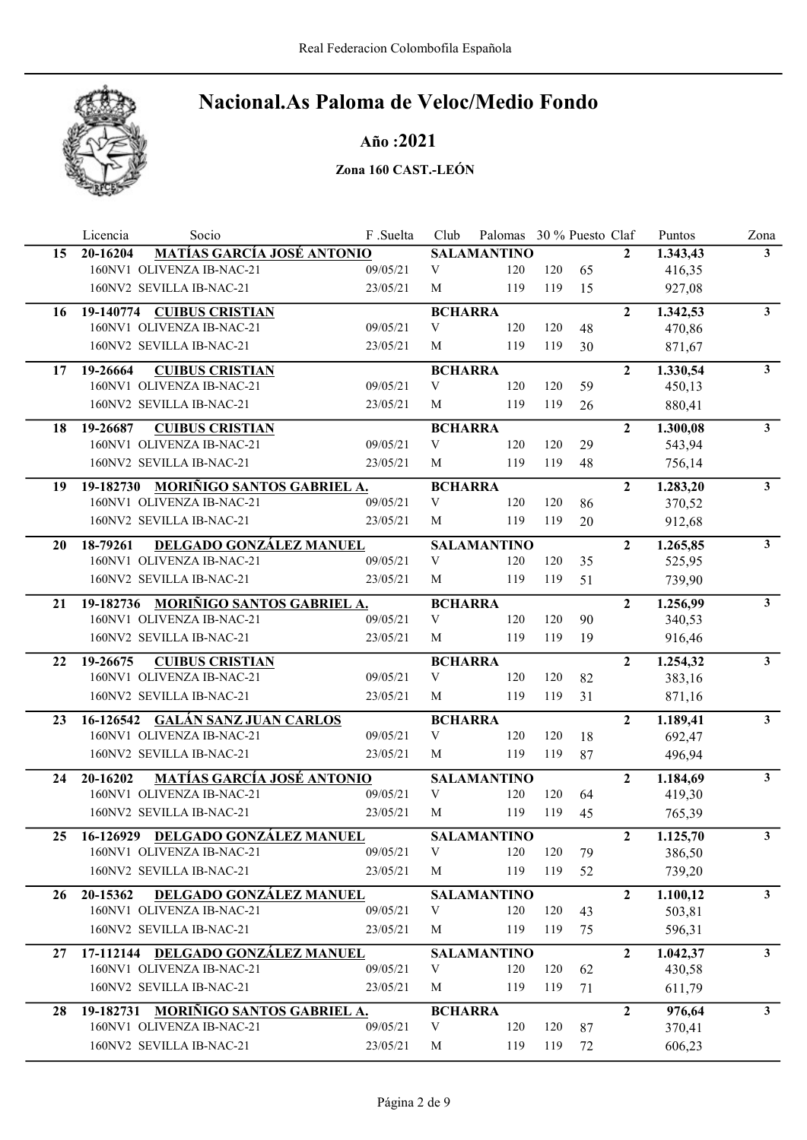

### Año :2021

|           | Socio<br>Licencia                              | F.Suelta | Club                      | Palomas 30 % Puesto Claf |     |    |                | Puntos   | Zona           |
|-----------|------------------------------------------------|----------|---------------------------|--------------------------|-----|----|----------------|----------|----------------|
| 15        | <b>MATÍAS GARCÍA JOSÉ ANTONIO</b><br>20-16204  |          |                           | <b>SALAMANTINO</b>       |     |    | $\mathbf{2}$   | 1.343,43 | $3^{\circ}$    |
|           | 160NV1 OLIVENZA IB-NAC-21                      | 09/05/21 | V                         | 120                      | 120 | 65 |                | 416,35   |                |
|           | 160NV2 SEVILLA IB-NAC-21                       | 23/05/21 | M                         | 119                      | 119 | 15 |                | 927,08   |                |
| 16        | 19-140774 CUIBUS CRISTIAN                      |          | <b>BCHARRA</b>            |                          |     |    | $\overline{2}$ | 1.342,53 | $\mathbf{3}$   |
|           | 160NV1 OLIVENZA IB-NAC-21                      | 09/05/21 | V                         | 120                      | 120 | 48 |                | 470,86   |                |
|           | 160NV2 SEVILLA IB-NAC-21                       | 23/05/21 | M                         | 119                      | 119 | 30 |                | 871,67   |                |
| 17        | <b>CUIBUS CRISTIAN</b><br>19-26664             |          | <b>BCHARRA</b>            |                          |     |    | $\overline{2}$ | 1.330,54 | 3 <sup>7</sup> |
|           | 160NV1 OLIVENZA IB-NAC-21                      | 09/05/21 | V                         | 120                      | 120 | 59 |                | 450,13   |                |
|           | 160NV2 SEVILLA IB-NAC-21                       | 23/05/21 | M                         | 119                      | 119 | 26 |                | 880,41   |                |
| 18        | 19-26687<br><b>CUIBUS CRISTIAN</b>             |          | <b>BCHARRA</b>            |                          |     |    | $\overline{2}$ | 1.300,08 | $\mathbf{3}$   |
|           | 160NV1 OLIVENZA IB-NAC-21                      | 09/05/21 | $\ensuremath{\mathbf{V}}$ | 120                      | 120 | 29 |                | 543,94   |                |
|           | 160NV2 SEVILLA IB-NAC-21                       | 23/05/21 | M                         | 119                      | 119 | 48 |                | 756,14   |                |
| 19        | MORIÑIGO SANTOS GABRIEL A.<br>19-182730        |          | <b>BCHARRA</b>            |                          |     |    | $\overline{2}$ | 1.283,20 | 3 <sup>1</sup> |
|           | 160NV1 OLIVENZA IB-NAC-21                      | 09/05/21 | $\ensuremath{\mathbf{V}}$ | 120                      | 120 | 86 |                | 370,52   |                |
|           | 160NV2 SEVILLA IB-NAC-21                       | 23/05/21 | M                         | 119                      | 119 | 20 |                | 912,68   |                |
| <b>20</b> | 18-79261<br>DELGADO GONZÁLEZ MANUEL            |          |                           | <b>SALAMANTINO</b>       |     |    | $\mathbf{2}$   | 1.265,85 | 3 <sup>1</sup> |
|           | 160NV1 OLIVENZA IB-NAC-21                      | 09/05/21 | V                         | 120                      | 120 | 35 |                | 525,95   |                |
|           | 160NV2 SEVILLA IB-NAC-21                       | 23/05/21 | M                         | 119                      | 119 | 51 |                | 739,90   |                |
| 21        | 19-182736 MORIÑIGO SANTOS GABRIEL A.           |          | <b>BCHARRA</b>            |                          |     |    | $\overline{2}$ | 1.256,99 | $\mathbf{3}$   |
|           | 160NV1 OLIVENZA IB-NAC-21                      | 09/05/21 | V                         | 120                      | 120 | 90 |                | 340,53   |                |
|           | 160NV2 SEVILLA IB-NAC-21                       | 23/05/21 | M                         | 119                      | 119 | 19 |                | 916,46   |                |
| 22        | <b>CUIBUS CRISTIAN</b><br>19-26675             |          | <b>BCHARRA</b>            |                          |     |    | $\overline{2}$ | 1.254,32 | 3 <sup>7</sup> |
|           | 160NV1 OLIVENZA IB-NAC-21                      | 09/05/21 | V                         | 120                      | 120 | 82 |                | 383,16   |                |
|           | 160NV2 SEVILLA IB-NAC-21                       | 23/05/21 | M                         | 119                      | 119 | 31 |                | 871,16   |                |
| 23        | 16-126542 GALÁN SANZ JUAN CARLOS               |          | <b>BCHARRA</b>            |                          |     |    | $\overline{2}$ | 1.189,41 | 3 <sup>1</sup> |
|           | 160NV1 OLIVENZA IB-NAC-21                      | 09/05/21 | V                         | 120                      | 120 | 18 |                | 692,47   |                |
|           | 160NV2 SEVILLA IB-NAC-21                       | 23/05/21 | M                         | 119                      | 119 | 87 |                | 496,94   |                |
| 24        | <b>MATÍAS GARCÍA JOSÉ ANTONIO</b><br>20-16202  |          |                           | <b>SALAMANTINO</b>       |     |    | $\overline{2}$ | 1.184,69 | $3^{\circ}$    |
|           | 160NV1 OLIVENZA IB-NAC-21                      | 09/05/21 | $\ensuremath{\mathbf{V}}$ | 120                      | 120 | 64 |                | 419,30   |                |
|           | 160NV2 SEVILLA IB-NAC-21                       | 23/05/21 | M                         | 119                      | 119 | 45 |                | 765,39   |                |
| 25        | 16-126929 DELGADO GONZÁLEZ MANUEL              |          |                           | <b>SALAMANTINO</b>       |     |    | $\mathbf{2}$   | 1.125,70 | $\mathbf{3}$   |
|           | 160NV1 OLIVENZA IB-NAC-21                      | 09/05/21 | V                         | 120                      | 120 | 79 |                | 386,50   |                |
|           | 160NV2 SEVILLA IB-NAC-21                       | 23/05/21 | M                         | 119                      | 119 | 52 |                | 739,20   |                |
| 26        | DELGADO GONZÁLEZ MANUEL<br>20-15362            |          |                           | <b>SALAMANTINO</b>       |     |    | $\overline{2}$ | 1.100,12 | 3 <sup>1</sup> |
|           | 160NV1 OLIVENZA IB-NAC-21                      | 09/05/21 | V                         | 120                      | 120 | 43 |                | 503,81   |                |
|           | 160NV2 SEVILLA IB-NAC-21                       | 23/05/21 | М                         | 119                      | 119 | 75 |                | 596,31   |                |
| 27        | 17-112144 DELGADO GONZÁLEZ MANUEL              |          |                           | <b>SALAMANTINO</b>       |     |    | $\mathbf{2}$   | 1.042,37 | 3 <sup>1</sup> |
|           | 160NV1 OLIVENZA IB-NAC-21                      | 09/05/21 | V                         | 120                      | 120 | 62 |                | 430,58   |                |
|           | 160NV2 SEVILLA IB-NAC-21                       | 23/05/21 | M                         | 119                      | 119 | 71 |                | 611,79   |                |
| 28        | <b>MORIÑIGO SANTOS GABRIEL A.</b><br>19-182731 |          | <b>BCHARRA</b>            |                          |     |    | $\overline{2}$ | 976,64   | 3 <sup>1</sup> |
|           | 160NV1 OLIVENZA IB-NAC-21                      | 09/05/21 | $\ensuremath{\mathbf{V}}$ | 120                      | 120 | 87 |                | 370,41   |                |
|           | 160NV2 SEVILLA IB-NAC-21                       | 23/05/21 | M                         | 119                      | 119 | 72 |                | 606,23   |                |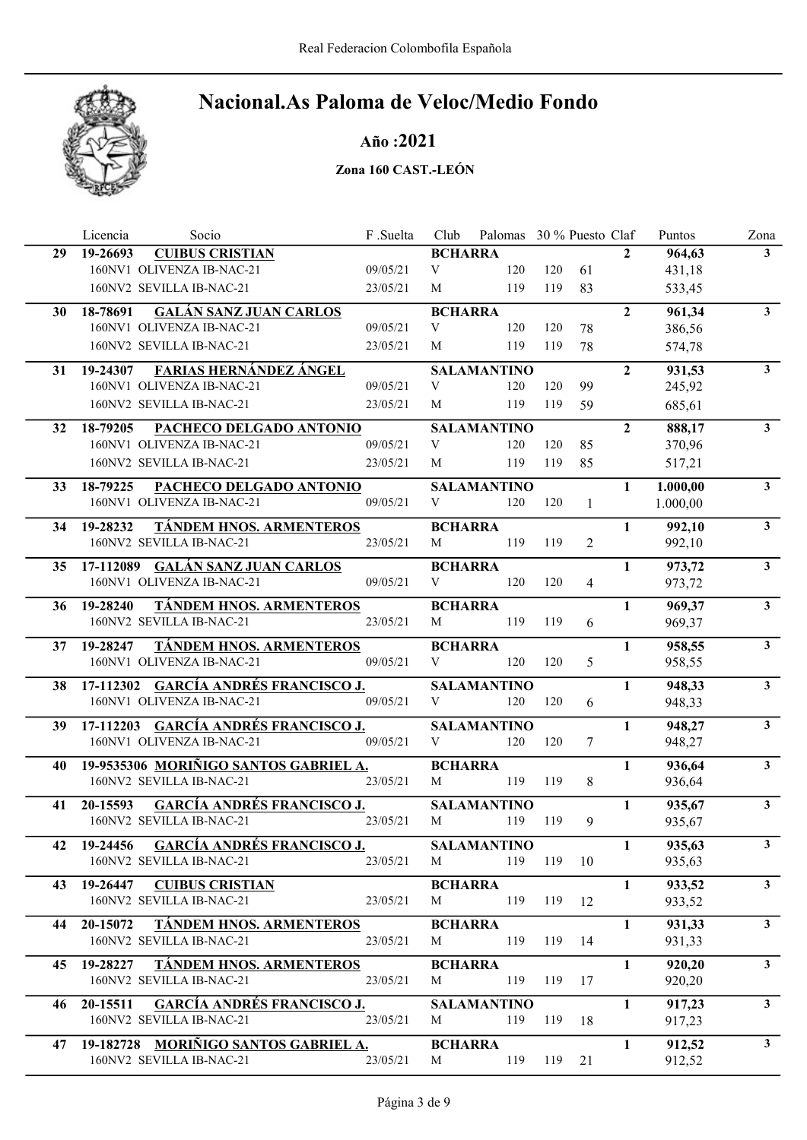

Año :2021

|    | Licencia<br>Socio                                                         | F.Suelta | Club                | Palomas 30 % Puesto Claf  |     |                |                | Puntos           | Zona                    |
|----|---------------------------------------------------------------------------|----------|---------------------|---------------------------|-----|----------------|----------------|------------------|-------------------------|
| 29 | <b>CUIBUS CRISTIAN</b><br>19-26693                                        |          | <b>BCHARRA</b>      |                           |     |                | $\mathbf{2}$   | 964,63           | 3 <sup>1</sup>          |
|    | 160NV1 OLIVENZA IB-NAC-21                                                 | 09/05/21 | V                   | 120                       | 120 | 61             |                | 431,18           |                         |
|    | 160NV2 SEVILLA IB-NAC-21                                                  | 23/05/21 | M                   | 119                       | 119 | 83             |                | 533,45           |                         |
| 30 | <b>GALÁN SANZ JUAN CARLOS</b><br>18-78691                                 |          | <b>BCHARRA</b>      |                           |     |                | $\overline{2}$ | 961,34           | $\mathbf{3}$            |
|    | 160NV1 OLIVENZA IB-NAC-21                                                 | 09/05/21 | V                   | 120                       | 120 | 78             |                | 386,56           |                         |
|    | 160NV2 SEVILLA IB-NAC-21                                                  | 23/05/21 | M                   | 119                       | 119 | 78             |                | 574,78           |                         |
| 31 | <b>FARIAS HERNÁNDEZ ÁNGEL</b><br>19-24307                                 |          |                     | <b>SALAMANTINO</b>        |     |                | $\overline{2}$ | 931,53           | 3 <sup>7</sup>          |
|    | 160NV1 OLIVENZA IB-NAC-21                                                 | 09/05/21 | V                   | 120                       | 120 | 99             |                | 245,92           |                         |
|    | 160NV2 SEVILLA IB-NAC-21                                                  | 23/05/21 | M                   | 119                       | 119 | 59             |                | 685,61           |                         |
| 32 | PACHECO DELGADO ANTONIO<br>18-79205                                       |          |                     | <b>SALAMANTINO</b>        |     |                | $\overline{2}$ | 888,17           | 3 <sup>1</sup>          |
|    | 160NV1 OLIVENZA IB-NAC-21                                                 | 09/05/21 | V                   | 120                       | 120 | 85             |                | 370,96           |                         |
|    | 160NV2 SEVILLA IB-NAC-21                                                  | 23/05/21 | M                   | 119                       | 119 | 85             |                | 517,21           |                         |
| 33 | 18-79225<br>PACHECO DELGADO ANTONIO                                       |          |                     | <b>SALAMANTINO</b>        |     |                | $\mathbf{1}$   | 1.000,00         | 3 <sup>1</sup>          |
|    | 160NV1 OLIVENZA IB-NAC-21                                                 | 09/05/21 | V                   | 120                       | 120 | $\mathbf{1}$   |                | 1.000,00         |                         |
|    |                                                                           |          |                     |                           |     |                |                |                  |                         |
| 34 | 19-28232<br><b>TÁNDEM HNOS. ARMENTEROS</b><br>160NV2 SEVILLA IB-NAC-21    | 23/05/21 | <b>BCHARRA</b><br>M | 119                       | 119 | $\overline{2}$ | $\mathbf{1}$   | 992,10<br>992,10 | $\mathbf{3}$            |
|    |                                                                           |          |                     |                           |     |                |                |                  |                         |
| 35 | 17-112089 GALÁN SANZ JUAN CARLOS                                          |          | <b>BCHARRA</b>      |                           |     |                | $\mathbf{1}$   | 973,72           | $\overline{3}$          |
|    | 160NV1 OLIVENZA IB-NAC-21                                                 | 09/05/21 | V                   | 120                       | 120 | $\overline{4}$ |                | 973,72           |                         |
| 36 | TÁNDEM HNOS. ARMENTEROS<br>19-28240                                       |          | <b>BCHARRA</b>      |                           |     |                | $\mathbf{1}$   | 969,37           | 3 <sup>1</sup>          |
|    | 160NV2 SEVILLA IB-NAC-21                                                  | 23/05/21 | M                   | 119                       | 119 | 6              |                | 969,37           |                         |
| 37 | TÁNDEM HNOS. ARMENTEROS<br>19-28247                                       |          | <b>BCHARRA</b>      |                           |     |                | $\mathbf{1}$   | 958,55           | $\overline{\mathbf{3}}$ |
|    | 160NV1 OLIVENZA IB-NAC-21                                                 | 09/05/21 | V                   | 120                       | 120 | 5              |                | 958,55           |                         |
| 38 | 17-112302 GARCÍA ANDRÉS FRANCISCO J.                                      |          |                     | <b>SALAMANTINO</b>        |     |                | $\mathbf{1}$   | 948,33           | $\mathbf{3}$            |
|    | 160NV1 OLIVENZA IB-NAC-21                                                 | 09/05/21 | V                   | 120                       | 120 | 6              |                | 948,33           |                         |
| 39 | 17-112203 GARCÍA ANDRÉS FRANCISCO J.                                      |          |                     | <b>SALAMANTINO</b>        |     |                | $\mathbf{1}$   | 948,27           | 3 <sup>1</sup>          |
|    | 160NV1 OLIVENZA IB-NAC-21                                                 | 09/05/21 | V                   | 120                       | 120 | 7              |                | 948,27           |                         |
| 40 | 19-9535306 MORIÑIGO SANTOS GABRIEL A.                                     |          | <b>BCHARRA</b>      |                           |     |                | $\mathbf{1}$   | 936,64           | 3 <sup>1</sup>          |
|    | 160NV2 SEVILLA IB-NAC-21                                                  | 23/05/21 | M                   | 119                       | 119 | 8              |                | 936,64           |                         |
|    |                                                                           |          |                     |                           |     |                |                |                  |                         |
| 41 | <b>GARCÍA ANDRÉS FRANCISCO J.</b><br>20-15593<br>160NV2 SEVILLA IB-NAC-21 | 23/05/21 | M                   | <b>SALAMANTINO</b>        | 119 |                | 1              | 935,67           | 3 <sup>7</sup>          |
|    |                                                                           |          |                     | 119                       |     | 9              |                | 935,67           |                         |
| 42 | <b>GARCÍA ANDRÉS FRANCISCO J.</b><br>19-24456                             |          |                     | <b>SALAMANTINO</b>        |     |                | $\mathbf{1}$   | 935,63           | 3 <sup>1</sup>          |
|    | 160NV2 SEVILLA IB-NAC-21                                                  | 23/05/21 | M                   | 119                       | 119 | 10             |                | 935,63           |                         |
| 43 | 19-26447<br><b>CUIBUS CRISTIAN</b>                                        |          | <b>BCHARRA</b>      |                           |     |                | 1              | 933,52           | 3 <sup>7</sup>          |
|    | 160NV2 SEVILLA IB-NAC-21                                                  | 23/05/21 | M                   | 119                       | 119 | 12             |                | 933,52           |                         |
| 44 | TÁNDEM HNOS. ARMENTEROS<br>20-15072                                       |          | <b>BCHARRA</b>      |                           |     |                | $\mathbf{1}$   | 931,33           | 3 <sup>7</sup>          |
|    | 160NV2 SEVILLA IB-NAC-21                                                  | 23/05/21 | M                   | 119                       | 119 | 14             |                | 931,33           |                         |
| 45 | TÁNDEM HNOS. ARMENTEROS<br>19-28227                                       |          | <b>BCHARRA</b>      |                           |     |                | $\mathbf{1}$   | 920,20           | $\mathbf{3}$            |
|    | 160NV2 SEVILLA IB-NAC-21                                                  | 23/05/21 | M                   | 119                       | 119 | 17             |                | 920,20           |                         |
|    | <b>GARCÍA ANDRÉS FRANCISCO J.</b>                                         |          |                     |                           |     |                | $\mathbf{1}$   |                  | 3 <sup>1</sup>          |
| 46 | 20-15511<br>160NV2 SEVILLA IB-NAC-21                                      | 23/05/21 | M                   | <b>SALAMANTINO</b><br>119 | 119 | 18             |                | 917,23<br>917,23 |                         |
|    |                                                                           |          |                     |                           |     |                |                |                  |                         |
| 47 | 19-182728 MORIÑIGO SANTOS GABRIEL A.                                      |          | <b>BCHARRA</b>      |                           |     |                | $\mathbf{1}$   | 912,52           | 3 <sup>1</sup>          |
|    | 160NV2 SEVILLA IB-NAC-21                                                  | 23/05/21 | M                   | 119                       | 119 | 21             |                | 912,52           |                         |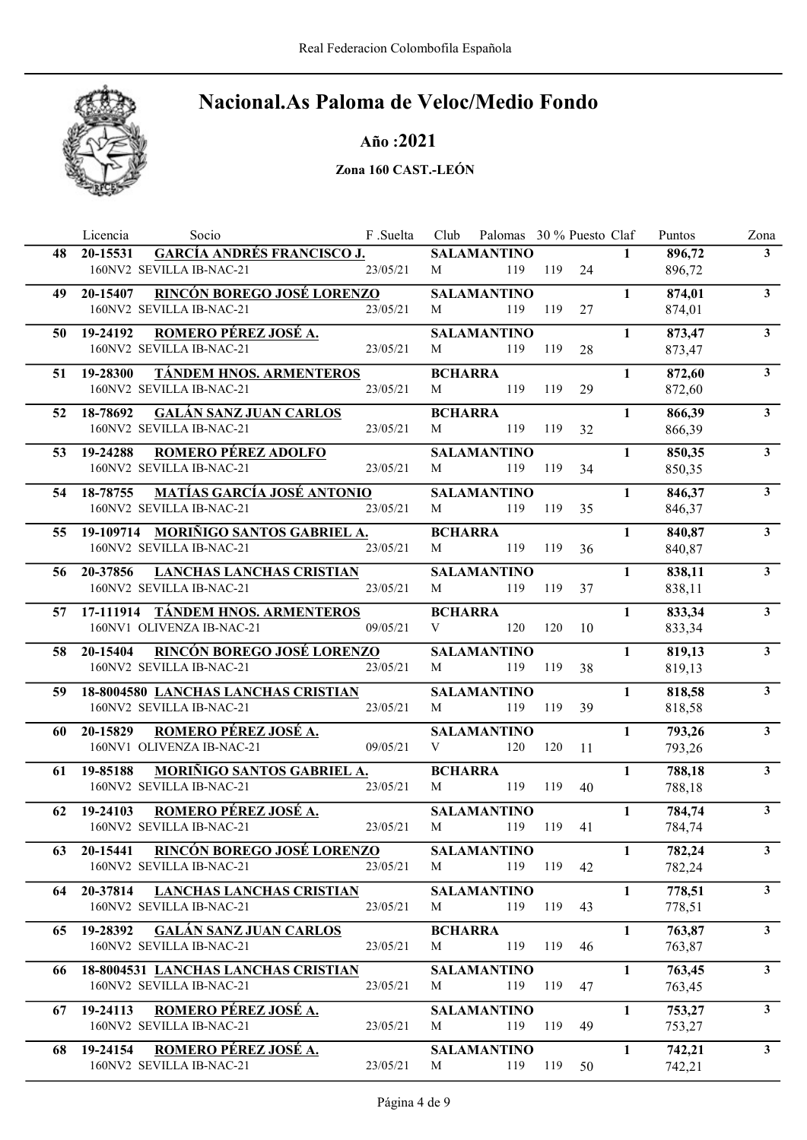

### Año :2021

|    | Socio<br>Licencia                                                         | F .Suelta | Club           | Palomas 30 % Puesto Claf  |         |    |              | Puntos           | Zona           |
|----|---------------------------------------------------------------------------|-----------|----------------|---------------------------|---------|----|--------------|------------------|----------------|
| 48 | <b>GARCÍA ANDRÉS FRANCISCO J.</b><br>20-15531                             |           |                | <b>SALAMANTINO</b>        |         |    | $\mathbf{1}$ | 896,72           | 3 <sup>1</sup> |
|    | 160NV2 SEVILLA IB-NAC-21                                                  | 23/05/21  | M              | 119                       | 119     | 24 |              | 896,72           |                |
| 49 | <b>RINCÓN BOREGO JOSÉ LORENZO</b><br>20-15407                             |           |                | <b>SALAMANTINO</b>        |         |    | 1            | 874,01           | 3 <sup>1</sup> |
|    | 160NV2 SEVILLA IB-NAC-21                                                  | 23/05/21  | M              | 119                       | 119     | 27 |              | 874,01           |                |
| 50 | ROMERO PÉREZ JOSÉ A.<br>19-24192                                          |           |                | <b>SALAMANTINO</b>        |         |    | $\mathbf{1}$ | 873,47           | 3 <sup>1</sup> |
|    | 160NV2 SEVILLA IB-NAC-21                                                  | 23/05/21  | M              | 119                       | 119     | 28 |              | 873,47           |                |
| 51 | TÁNDEM HNOS. ARMENTEROS<br>19-28300                                       |           | <b>BCHARRA</b> |                           |         |    | $\mathbf{1}$ | 872,60           | 3 <sup>1</sup> |
|    | 160NV2 SEVILLA IB-NAC-21                                                  | 23/05/21  | M              | 119                       | 119     | 29 |              | 872,60           |                |
| 52 | 18-78692<br><b>GALÁN SANZ JUAN CARLOS</b>                                 |           | <b>BCHARRA</b> |                           |         |    | $\mathbf{1}$ | 866,39           | $3^{\circ}$    |
|    | 160NV2 SEVILLA IB-NAC-21                                                  | 23/05/21  | M              | 119                       | 119     | 32 |              | 866,39           |                |
| 53 | <b>ROMERO PÉREZ ADOLFO</b><br>19-24288                                    |           |                | <b>SALAMANTINO</b>        |         |    | $\mathbf{1}$ | 850,35           | 3 <sup>1</sup> |
|    | 160NV2 SEVILLA IB-NAC-21                                                  | 23/05/21  | M              | 119                       | 119     | 34 |              | 850,35           |                |
| 54 | <u>MATÍAS GARCÍA JOSÉ ANTONIO</u><br>18-78755                             |           |                | <b>SALAMANTINO</b>        |         |    | $\mathbf{1}$ | 846,37           | 3 <sup>1</sup> |
|    | 160NV2 SEVILLA IB-NAC-21                                                  | 23/05/21  | M              | 119                       | 119     | 35 |              | 846,37           |                |
| 55 | 19-109714 MORIÑIGO SANTOS GABRIEL A.                                      |           | <b>BCHARRA</b> |                           |         |    | $\mathbf{1}$ | 840,87           | 3 <sup>7</sup> |
|    | 160NV2 SEVILLA IB-NAC-21                                                  | 23/05/21  | M              | 119                       | 119     | 36 |              | 840,87           |                |
|    | 56 20-37856<br><b>LANCHAS LANCHAS CRISTIAN</b>                            |           |                | <b>SALAMANTINO</b>        |         |    | $\mathbf{1}$ | 838,11           | 3 <sup>1</sup> |
|    | 160NV2 SEVILLA IB-NAC-21                                                  | 23/05/21  | M              | 119                       | 119     | 37 |              | 838,11           |                |
|    | 57 17-111914 TÁNDEM HNOS. ARMENTEROS                                      |           | <b>BCHARRA</b> |                           |         |    | $\mathbf{1}$ | 833,34           | 3 <sup>7</sup> |
|    | 160NV1 OLIVENZA IB-NAC-21                                                 | 09/05/21  | V              | 120                       | 120     | 10 |              | 833,34           |                |
|    |                                                                           |           |                |                           |         |    | $\mathbf{1}$ |                  | 3 <sup>1</sup> |
| 58 | 20-15404 RINCÓN BOREGO JOSÉ LORENZO<br>160NV2 SEVILLA IB-NAC-21           | 23/05/21  | M              | <b>SALAMANTINO</b><br>119 | 119     | 38 |              | 819,13<br>819,13 |                |
|    |                                                                           |           |                |                           |         |    |              |                  |                |
| 59 | 18-8004580 LANCHAS LANCHAS CRISTIAN<br>160NV2 SEVILLA IB-NAC-21           | 23/05/21  | M              | <b>SALAMANTINO</b><br>119 | 119     | 39 | 1            | 818,58<br>818,58 | $\mathbf{3}$   |
|    |                                                                           |           |                |                           |         |    |              |                  |                |
| 60 | ROMERO PÉREZ JOSÉ A.<br>20-15829<br>160NV1 OLIVENZA IB-NAC-21             | 09/05/21  | V              | <b>SALAMANTINO</b><br>120 | 120     | 11 | 1            | 793,26<br>793,26 | 3 <sup>1</sup> |
|    |                                                                           |           |                |                           |         |    |              |                  |                |
| 61 | <b>MORIÑIGO SANTOS GABRIEL A.</b><br>19-85188<br>160NV2 SEVILLA IB-NAC-21 |           | <b>BCHARRA</b> |                           |         |    | 1            | 788,18           | $\mathbf{3}$   |
|    |                                                                           | 23/05/21  | M              | 119                       | 119     | 40 |              | 788,18           |                |
| 62 | ROMERO PÉREZ JOSÉ A.<br>19-24103                                          |           |                | <b>SALAMANTINO</b>        |         |    | $\mathbf{1}$ | 784,74           | 3 <sup>7</sup> |
|    | 160NV2 SEVILLA IB-NAC-21                                                  | 23/05/21  | M              | 119                       | 119     | 41 |              | 784,74           |                |
| 63 | 20-15441 RINCÓN BOREGO JOSÉ LORENZO                                       |           |                | <b>SALAMANTINO</b>        |         |    | $\mathbf{1}$ | 782,24           | $\mathbf{3}$   |
|    | 160NV2 SEVILLA IB-NAC-21                                                  | 23/05/21  | M              |                           | 119 119 | 42 |              | 782,24           |                |
| 64 | 20-37814 LANCHAS LANCHAS CRISTIAN                                         |           |                | <b>SALAMANTINO</b>        |         |    | $\mathbf{1}$ | 778,51           | 3 <sup>1</sup> |
|    | 160NV2 SEVILLA IB-NAC-21                                                  | 23/05/21  | M              | 119                       | 119     | 43 |              | 778,51           |                |
| 65 | <b>GALÁN SANZ JUAN CARLOS</b><br>19-28392                                 |           | <b>BCHARRA</b> |                           |         |    | $\mathbf{1}$ | 763,87           | 3 <sup>1</sup> |
|    | 160NV2 SEVILLA IB-NAC-21                                                  | 23/05/21  | M              | 119                       | 119     | 46 |              | 763,87           |                |
| 66 | 18-8004531 LANCHAS LANCHAS CRISTIAN                                       |           |                | <b>SALAMANTINO</b>        |         |    | $\mathbf{1}$ | 763,45           | 3 <sup>1</sup> |
|    | 160NV2 SEVILLA IB-NAC-21                                                  | 23/05/21  | M              | 119                       | 119     | 47 |              | 763,45           |                |
| 67 | ROMERO PÉREZ JOSÉ A.<br>19-24113                                          |           |                | <b>SALAMANTINO</b>        |         |    | $\mathbf{1}$ | 753,27           | 3 <sup>1</sup> |
|    | 160NV2 SEVILLA IB-NAC-21                                                  | 23/05/21  | М              | 119                       | 119     | 49 |              | 753,27           |                |
| 68 | 19-24154 ROMERO PÉREZ JOSÉ A.                                             |           |                | <b>SALAMANTINO</b>        |         |    | $\mathbf{1}$ | 742,21           | 3 <sup>1</sup> |
|    | 160NV2 SEVILLA IB-NAC-21                                                  | 23/05/21  | M              | 119                       | 119     | 50 |              | 742,21           |                |
|    |                                                                           |           |                |                           |         |    |              |                  |                |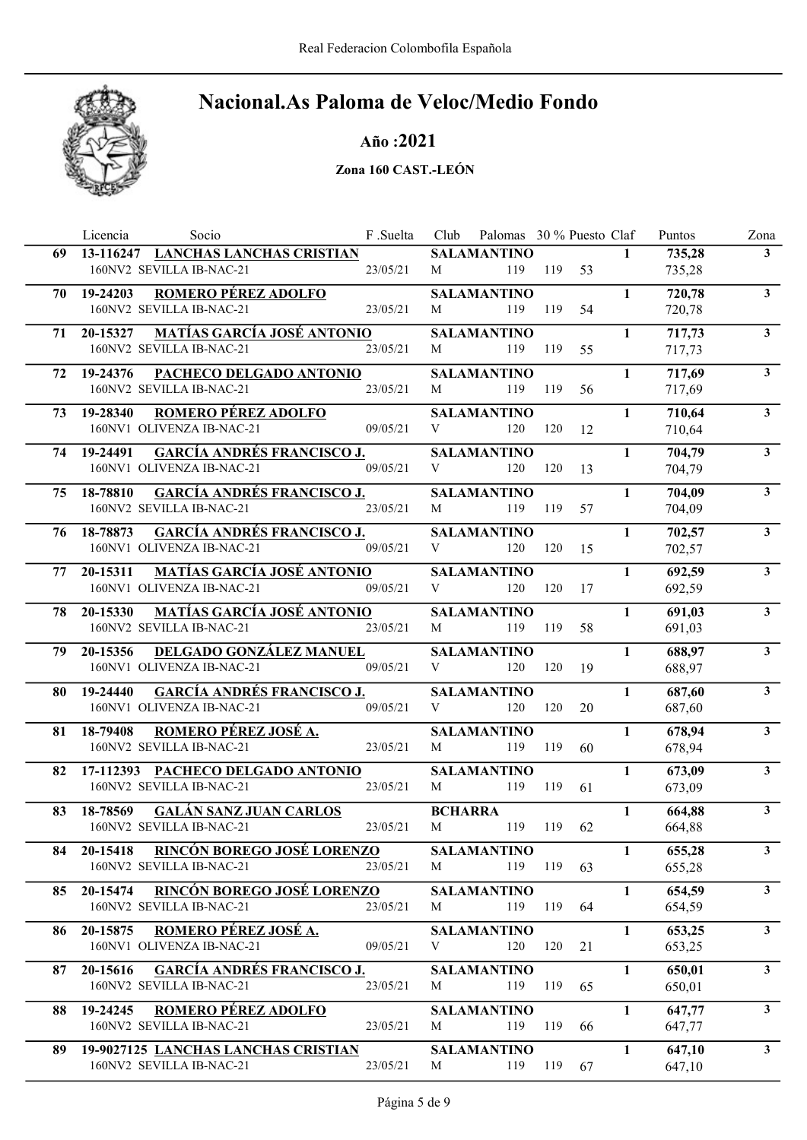

### Año :2021

|     | Socio<br>Licencia                                                         | F .Suelta | Club           | Palomas 30 % Puesto Claf  |         |    |              | Puntos           | Zona                    |
|-----|---------------------------------------------------------------------------|-----------|----------------|---------------------------|---------|----|--------------|------------------|-------------------------|
| 69  | 13-116247 LANCHAS LANCHAS CRISTIAN                                        |           |                | <b>SALAMANTINO</b>        |         |    | $\mathbf{1}$ | 735,28           | 3 <sup>1</sup>          |
|     | 160NV2 SEVILLA IB-NAC-21                                                  | 23/05/21  | М              | 119                       | 119     | 53 |              | 735,28           |                         |
| 70  | <b>ROMERO PÉREZ ADOLFO</b><br>19-24203                                    |           |                | <b>SALAMANTINO</b>        |         |    | 1            | 720,78           | $\mathbf{3}$            |
|     | 160NV2 SEVILLA IB-NAC-21                                                  | 23/05/21  | M              | 119                       | 119     | 54 |              | 720,78           |                         |
| 71  | <b>MATÍAS GARCÍA JOSÉ ANTONIO</b><br>20-15327                             |           |                | <b>SALAMANTINO</b>        |         |    | 1            | 717,73           | $\mathbf{3}$            |
|     | 160NV2 SEVILLA IB-NAC-21                                                  | 23/05/21  | M              | 119                       | 119     | 55 |              | 717,73           |                         |
| 72  | PACHECO DELGADO ANTONIO<br>19-24376                                       |           |                | <b>SALAMANTINO</b>        |         |    | $\mathbf{1}$ | 717,69           | 3 <sup>1</sup>          |
|     | 160NV2 SEVILLA IB-NAC-21                                                  | 23/05/21  | M              | 119                       | 119     | 56 |              | 717,69           |                         |
| 73  | 19-28340<br><b>ROMERO PÉREZ ADOLFO</b>                                    |           |                | <b>SALAMANTINO</b>        |         |    | $\mathbf{1}$ | 710,64           | $3^{\circ}$             |
|     | 160NV1 OLIVENZA IB-NAC-21                                                 | 09/05/21  | V              | 120                       | 120     | 12 |              | 710,64           |                         |
| 74  | <b>GARCÍA ANDRÉS FRANCISCO J.</b><br>19-24491                             |           |                | <b>SALAMANTINO</b>        |         |    | $\mathbf{1}$ | 704,79           | $\mathbf{3}$            |
|     | 160NV1 OLIVENZA IB-NAC-21                                                 | 09/05/21  | V              | 120                       | 120     | 13 |              | 704,79           |                         |
|     |                                                                           |           |                |                           |         |    |              |                  |                         |
| 75  | <b>GARCÍA ANDRÉS FRANCISCO J.</b><br>18-78810<br>160NV2 SEVILLA IB-NAC-21 | 23/05/21  | M              | <b>SALAMANTINO</b><br>119 | 119     | 57 | $\mathbf{1}$ | 704,09<br>704,09 | $\mathbf{3}$            |
|     |                                                                           |           |                |                           |         |    |              |                  |                         |
| 76  | <b>GARCÍA ANDRÉS FRANCISCO J.</b><br>18-78873                             |           |                | <b>SALAMANTINO</b>        |         |    | $\mathbf{1}$ | 702,57           | $\overline{\mathbf{3}}$ |
|     | 160NV1 OLIVENZA IB-NAC-21                                                 | 09/05/21  | V              | 120                       | 120     | 15 |              | 702,57           |                         |
| 77  | <b>MATÍAS GARCÍA JOSÉ ANTONIO</b><br>20-15311                             |           |                | <b>SALAMANTINO</b>        |         |    | $\mathbf{1}$ | 692,59           | 3 <sup>1</sup>          |
|     | 160NV1 OLIVENZA IB-NAC-21                                                 | 09/05/21  | V              | 120                       | 120     | 17 |              | 692,59           |                         |
| 78  | <u>MATÍAS GARCÍA JOSÉ ANTONIO</u><br>20-15330                             |           |                | <b>SALAMANTINO</b>        |         |    | 1            | 691,03           | 3 <sup>1</sup>          |
|     | 160NV2 SEVILLA IB-NAC-21                                                  | 23/05/21  | M              | 119                       | 119     | 58 |              | 691,03           |                         |
| 79. | DELGADO GONZÁLEZ MANUEL<br>20-15356                                       |           |                | <b>SALAMANTINO</b>        |         |    | 1            | 688,97           | 3 <sup>1</sup>          |
|     | 160NV1 OLIVENZA IB-NAC-21                                                 | 09/05/21  | V              | 120                       | 120     | 19 |              | 688,97           |                         |
| 80  | <b>GARCÍA ANDRÉS FRANCISCO J.</b><br>19-24440                             |           |                | <b>SALAMANTINO</b>        |         |    | $\mathbf{1}$ | 687,60           | 3 <sup>1</sup>          |
|     | 160NV1 OLIVENZA IB-NAC-21                                                 | 09/05/21  | V              | 120                       | 120     | 20 |              | 687,60           |                         |
| 81  | ROMERO PÉREZ JOSÉ A.<br>18-79408                                          |           |                | <b>SALAMANTINO</b>        |         |    | $\mathbf{1}$ | 678,94           | $\mathbf{3}$            |
|     | 160NV2 SEVILLA IB-NAC-21                                                  | 23/05/21  | M              | 119                       | 119     | 60 |              | 678,94           |                         |
| 82  | 17-112393 PACHECO DELGADO ANTONIO                                         |           |                | <b>SALAMANTINO</b>        |         |    | $\mathbf{1}$ | 673,09           | $\mathbf{3}$            |
|     | 160NV2 SEVILLA IB-NAC-21                                                  | 23/05/21  | M              | 119                       | 119     | 61 |              | 673,09           |                         |
| 83  | 18-78569<br><b>GALÁN SANZ JUAN CARLOS</b>                                 |           | <b>BCHARRA</b> |                           |         |    | $\mathbf{1}$ | 664,88           | $\overline{\mathbf{3}}$ |
|     | 160NV2 SEVILLA IB-NAC-21                                                  | 23/05/21  | M              | 119                       | 119     | 62 |              | 664,88           |                         |
| 84  | RINCÓN BOREGO JOSÉ LORENZO<br>20-15418                                    |           |                | <b>SALAMANTINO</b>        |         |    | $\mathbf{1}$ | 655,28           | $\mathbf{3}$            |
|     | 160NV2 SEVILLA IB-NAC-21                                                  | 23/05/21  | M              |                           | 119 119 | 63 |              | 655,28           |                         |
|     |                                                                           |           |                |                           |         |    |              |                  |                         |
| 85  | RINCÓN BOREGO JOSÉ LORENZO<br>20-15474<br>160NV2 SEVILLA IB-NAC-21        | 23/05/21  | M              | <b>SALAMANTINO</b><br>119 | 119     | 64 | $\mathbf{1}$ | 654,59<br>654,59 | 3 <sup>1</sup>          |
|     |                                                                           |           |                |                           |         |    |              |                  |                         |
| 86  | ROMERO PÉREZ JOSÉ A.<br>20-15875                                          |           |                | <b>SALAMANTINO</b>        |         |    | $\mathbf{1}$ | 653,25           | 3 <sup>1</sup>          |
|     | 160NV1 OLIVENZA IB-NAC-21                                                 | 09/05/21  | V              | 120                       | 120     | 21 |              | 653,25           |                         |
| 87  | <b>GARCÍA ANDRÉS FRANCISCO J.</b><br>20-15616                             |           |                | <b>SALAMANTINO</b>        |         |    | $\mathbf{1}$ | 650,01           | 3 <sup>1</sup>          |
|     | 160NV2 SEVILLA IB-NAC-21                                                  | 23/05/21  | M              | 119                       | 119     | 65 |              | 650,01           |                         |
| 88  | ROMERO PÉREZ ADOLFO<br>19-24245                                           |           |                | <b>SALAMANTINO</b>        |         |    | $\mathbf{1}$ | 647,77           | 3 <sup>1</sup>          |
|     | 160NV2 SEVILLA IB-NAC-21                                                  | 23/05/21  | M              | 119                       | 119     | 66 |              | 647,77           |                         |
| 89  | 19-9027125 LANCHAS LANCHAS CRISTIAN                                       |           |                | <b>SALAMANTINO</b>        |         |    | $\mathbf{1}$ | 647,10           | $\mathbf{3}$            |
|     | 160NV2 SEVILLA IB-NAC-21                                                  | 23/05/21  | M              | 119                       | 119     | 67 |              | 647,10           |                         |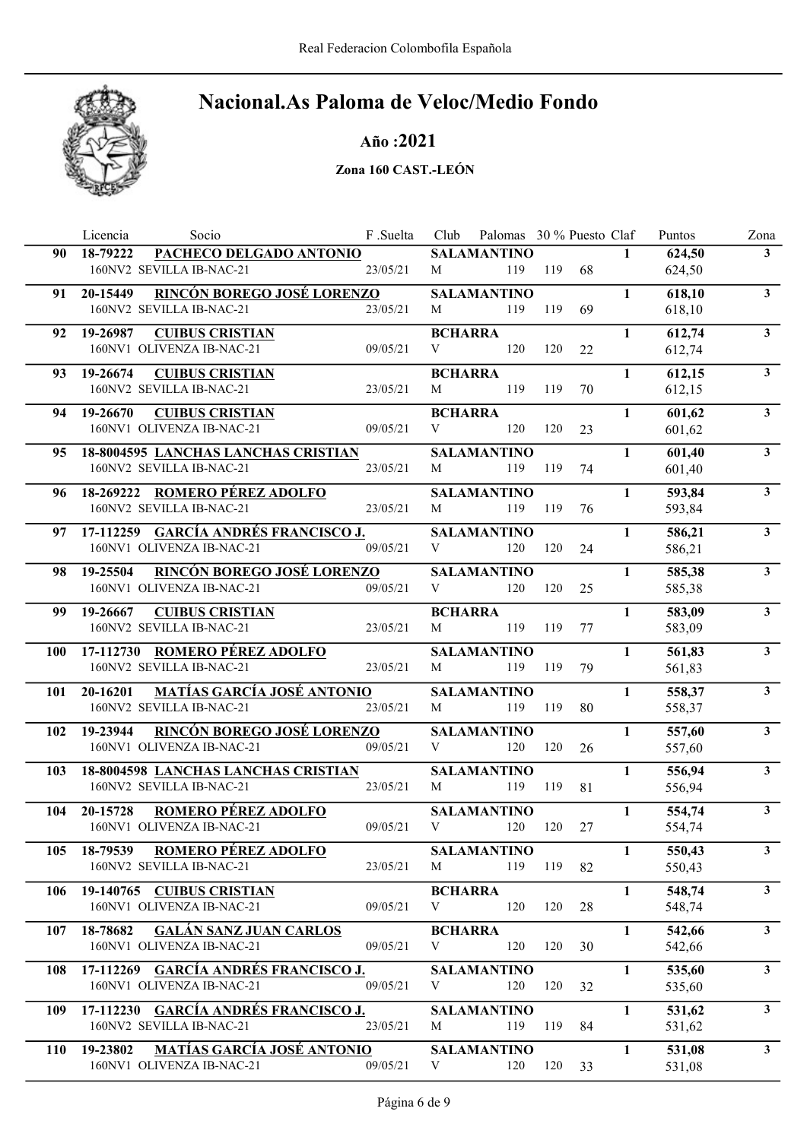

### Año :2021

|            | Licencia<br>Socio                                                      | F .Suelta | Club                | Palomas 30 % Puesto Claf  |     |    |              | Puntos           | Zona                    |
|------------|------------------------------------------------------------------------|-----------|---------------------|---------------------------|-----|----|--------------|------------------|-------------------------|
| 90         | PACHECO DELGADO ANTONIO<br>18-79222                                    |           |                     | <b>SALAMANTINO</b>        |     |    | $\mathbf{1}$ | 624,50           | 3 <sup>1</sup>          |
|            | 160NV2 SEVILLA IB-NAC-21                                               | 23/05/21  | M                   | 119                       | 119 | 68 |              | 624,50           |                         |
| 91         | RINCÓN BOREGO JOSÉ LORENZO<br>20-15449                                 |           |                     | <b>SALAMANTINO</b>        |     |    | 1            | 618,10           | 3 <sup>1</sup>          |
|            | 160NV2 SEVILLA IB-NAC-21                                               | 23/05/21  | M                   | 119                       | 119 | 69 |              | 618,10           |                         |
| 92         | 19-26987<br><b>CUIBUS CRISTIAN</b>                                     |           | <b>BCHARRA</b>      |                           |     |    | $\mathbf{1}$ | 612,74           | 3 <sup>1</sup>          |
|            | 160NV1 OLIVENZA IB-NAC-21                                              | 09/05/21  | V                   | 120                       | 120 | 22 |              | 612,74           |                         |
| 93         | 19-26674<br><b>CUIBUS CRISTIAN</b>                                     |           | <b>BCHARRA</b>      |                           |     |    | $\mathbf{1}$ | 612,15           | $\mathbf{3}$            |
|            | 160NV2 SEVILLA IB-NAC-21                                               | 23/05/21  | M                   | 119                       | 119 | 70 |              | 612,15           |                         |
| 94         | 19-26670<br><b>CUIBUS CRISTIAN</b>                                     |           | <b>BCHARRA</b>      |                           |     |    | $\mathbf{1}$ | 601,62           | 3 <sup>7</sup>          |
|            | 160NV1 OLIVENZA IB-NAC-21                                              | 09/05/21  | V                   | 120                       | 120 | 23 |              | 601,62           |                         |
| 95         | 18-8004595 LANCHAS LANCHAS CRISTIAN                                    |           |                     | <b>SALAMANTINO</b>        |     |    | $\mathbf{1}$ | 601,40           | 3 <sup>1</sup>          |
|            | 160NV2 SEVILLA IB-NAC-21                                               | 23/05/21  | M                   | 119                       | 119 | 74 |              | 601,40           |                         |
|            |                                                                        |           |                     |                           |     |    |              |                  |                         |
| 96         | 18-269222 ROMERO PÉREZ ADOLFO<br>160NV2 SEVILLA IB-NAC-21              | 23/05/21  | M                   | <b>SALAMANTINO</b><br>119 | 119 | 76 | $\mathbf{1}$ | 593,84<br>593,84 | 3 <sup>1</sup>          |
|            |                                                                        |           |                     |                           |     |    |              |                  |                         |
| 97         | 17-112259 GARCÍA ANDRÉS FRANCISCO J.                                   |           |                     | <b>SALAMANTINO</b>        |     |    | $\mathbf{1}$ | 586,21           | $\overline{\mathbf{3}}$ |
|            | 160NV1 OLIVENZA IB-NAC-21                                              | 09/05/21  | V                   | 120                       | 120 | 24 |              | 586,21           |                         |
| 98         | RINCÓN BOREGO JOSÉ LORENZO<br>19-25504                                 |           |                     | <b>SALAMANTINO</b>        |     |    | $\mathbf{1}$ | 585,38           | 3 <sup>1</sup>          |
|            | 160NV1 OLIVENZA IB-NAC-21                                              | 09/05/21  | V                   | 120                       | 120 | 25 |              | 585,38           |                         |
| 99         | <b>CUIBUS CRISTIAN</b><br>19-26667                                     |           | <b>BCHARRA</b>      |                           |     |    | $\mathbf{1}$ | 583,09           | 3 <sup>7</sup>          |
|            | 160NV2 SEVILLA IB-NAC-21                                               | 23/05/21  | M                   | 119                       | 119 | 77 |              | 583,09           |                         |
| 100        | 17-112730 ROMERO PÉREZ ADOLFO                                          |           |                     | <b>SALAMANTINO</b>        |     |    | 1            | 561,83           | 3 <sup>7</sup>          |
|            | 160NV2 SEVILLA IB-NAC-21                                               | 23/05/21  | M                   | 119                       | 119 | 79 |              | 561,83           |                         |
| 101        | <b>MATÍAS GARCÍA JOSÉ ANTONIO</b><br>20-16201                          |           |                     | <b>SALAMANTINO</b>        |     |    | 1            | 558,37           | 3 <sup>1</sup>          |
|            | 160NV2 SEVILLA IB-NAC-21                                               | 23/05/21  | M                   | 119                       | 119 | 80 |              | 558,37           |                         |
| 102        | RINCÓN BOREGO JOSÉ LORENZO<br>19-23944                                 |           |                     | <b>SALAMANTINO</b>        |     |    | 1            | 557,60           | 3 <sup>1</sup>          |
|            | 160NV1 OLIVENZA IB-NAC-21                                              | 09/05/21  | V                   | 120                       | 120 | 26 |              | 557,60           |                         |
| 103        | 18-8004598 LANCHAS LANCHAS CRISTIAN                                    |           |                     | <b>SALAMANTINO</b>        |     |    | $\mathbf{1}$ | 556,94           | 3 <sup>1</sup>          |
|            | 160NV2 SEVILLA IB-NAC-21                                               | 23/05/21  | M                   | 119                       | 119 | 81 |              | 556,94           |                         |
| 104        | 20-15728<br>ROMERO PÉREZ ADOLFO                                        |           |                     | <b>SALAMANTINO</b>        |     |    | $\mathbf{1}$ | 554,74           | 3 <sup>1</sup>          |
|            | 160NV1 OLIVENZA IB-NAC-21                                              | 09/05/21  | V                   | 120                       | 120 | 27 |              | 554,74           |                         |
| 105        | 18-79539 ROMERO PÉREZ ADOLFO                                           |           |                     | <b>SALAMANTINO</b>        |     |    | $\mathbf{1}$ | 550,43           | 3 <sup>1</sup>          |
|            | 160NV2 SEVILLA IB-NAC-21                                               | 23/05/21  | M                   | 119 119                   |     | 82 |              | 550,43           |                         |
|            |                                                                        |           |                     |                           |     |    | $\mathbf{1}$ |                  | 3 <sup>1</sup>          |
| 106        | 19-140765 CUIBUS CRISTIAN<br>160NV1 OLIVENZA IB-NAC-21                 | 09/05/21  | <b>BCHARRA</b><br>V | 120                       | 120 | 28 |              | 548,74<br>548,74 |                         |
|            |                                                                        |           |                     |                           |     |    |              |                  |                         |
| 107        | <b>GALÁN SANZ JUAN CARLOS</b><br>18-78682<br>160NV1 OLIVENZA IB-NAC-21 | 09/05/21  | <b>BCHARRA</b><br>V | 120                       | 120 | 30 | $\mathbf{1}$ | 542,66<br>542,66 | 3 <sup>1</sup>          |
|            |                                                                        |           |                     |                           |     |    |              |                  |                         |
| 108        | 17-112269 GARCÍA ANDRÉS FRANCISCO J.                                   |           |                     | <b>SALAMANTINO</b>        |     |    | $\mathbf{1}$ | 535,60           | 3 <sup>1</sup>          |
|            | 160NV1 OLIVENZA IB-NAC-21                                              | 09/05/21  | V                   | 120                       | 120 | 32 |              | 535,60           |                         |
| 109        | 17-112230 GARCÍA ANDRÉS FRANCISCO J.                                   |           |                     | <b>SALAMANTINO</b>        |     |    | $\mathbf{1}$ | 531,62           | 3 <sup>7</sup>          |
|            | 160NV2 SEVILLA IB-NAC-21                                               | 23/05/21  | M                   | 119                       | 119 | 84 |              | 531,62           |                         |
| <b>110</b> | <b>MATÍAS GARCÍA JOSÉ ANTONIO</b><br>19-23802                          |           |                     | <b>SALAMANTINO</b>        |     |    | $\mathbf{1}$ | 531,08           | $\mathbf{3}$            |
|            | 160NV1 OLIVENZA IB-NAC-21                                              | 09/05/21  | V                   | 120                       | 120 | 33 |              | 531,08           |                         |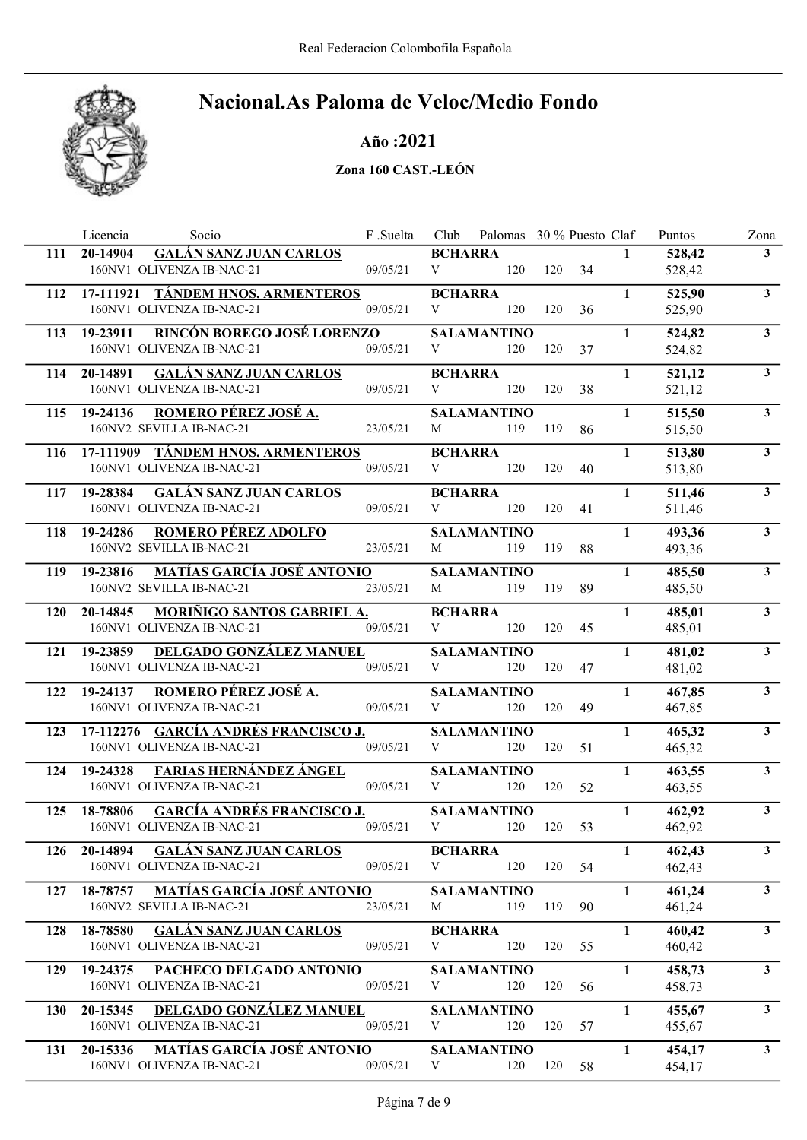

Año :2021

|            | Licencia<br>Socio                                                          | F.Suelta | Club                | Palomas 30 % Puesto Claf  |     |     |              | Puntos           | Zona           |
|------------|----------------------------------------------------------------------------|----------|---------------------|---------------------------|-----|-----|--------------|------------------|----------------|
| 111        | <b>GALÁN SANZ JUAN CARLOS</b><br>20-14904                                  |          | <b>BCHARRA</b>      |                           |     |     | $\mathbf{1}$ | 528,42           | 3 <sup>1</sup> |
|            | 160NV1 OLIVENZA IB-NAC-21                                                  | 09/05/21 | V                   | 120                       | 120 | 34  |              | 528,42           |                |
| 112        | 17-111921 TÁNDEM HNOS. ARMENTEROS                                          |          | <b>BCHARRA</b>      |                           |     |     | 1            | 525,90           | 3 <sup>1</sup> |
|            | 160NV1 OLIVENZA IB-NAC-21                                                  | 09/05/21 | V                   | 120                       | 120 | 36  |              | 525,90           |                |
| 113        | <b>RINCÓN BOREGO JOSÉ LORENZO</b><br>19-23911                              |          |                     | <b>SALAMANTINO</b>        |     |     | $\mathbf{1}$ | 524,82           | 3 <sup>1</sup> |
|            | 160NV1 OLIVENZA IB-NAC-21                                                  | 09/05/21 | V                   | 120                       | 120 | 37  |              | 524,82           |                |
| 114        | <b>GALÁN SANZ JUAN CARLOS</b><br>20-14891                                  |          | <b>BCHARRA</b>      |                           |     |     | $\mathbf{1}$ | 521,12           | 3 <sup>1</sup> |
|            | 160NV1 OLIVENZA IB-NAC-21                                                  | 09/05/21 | V                   | 120                       | 120 | 38  |              | 521,12           |                |
| 115        | 19-24136<br>ROMERO PÉREZ JOSÉ A.                                           |          |                     | <b>SALAMANTINO</b>        |     |     | $\mathbf{1}$ | 515,50           | 3 <sup>1</sup> |
|            | 160NV2 SEVILLA IB-NAC-21                                                   | 23/05/21 | M                   | 119                       | 119 | 86  |              | 515,50           |                |
|            |                                                                            |          |                     |                           |     |     |              |                  | 3 <sup>1</sup> |
| 116        | 17-111909 TÁNDEM HNOS. ARMENTEROS<br>160NV1 OLIVENZA IB-NAC-21             | 09/05/21 | <b>BCHARRA</b><br>V | 120                       | 120 | 40  | $\mathbf{1}$ | 513,80<br>513,80 |                |
|            |                                                                            |          |                     |                           |     |     |              |                  |                |
| 117        | <b>GALÁN SANZ JUAN CARLOS</b><br>19-28384                                  |          | <b>BCHARRA</b>      |                           |     |     | $\mathbf{1}$ | 511,46           | 3 <sup>1</sup> |
|            | 160NV1 OLIVENZA IB-NAC-21                                                  | 09/05/21 | V                   | 120                       | 120 | 41  |              | 511,46           |                |
| 118        | <b>ROMERO PÉREZ ADOLFO</b><br>19-24286                                     |          |                     | <b>SALAMANTINO</b>        |     |     | $\mathbf{1}$ | 493,36           | 3 <sup>7</sup> |
|            | 160NV2 SEVILLA IB-NAC-21                                                   | 23/05/21 | M                   | 119                       | 119 | 88  |              | 493,36           |                |
| 119        | <b>MATÍAS GARCÍA JOSÉ ANTONIO</b><br>19-23816                              |          |                     | <b>SALAMANTINO</b>        |     |     | $\mathbf{1}$ | 485,50           | 3 <sup>1</sup> |
|            | 160NV2 SEVILLA IB-NAC-21                                                   | 23/05/21 | M                   | 119                       | 119 | 89  |              | 485,50           |                |
| <b>120</b> | MORIÑIGO SANTOS GABRIEL A.<br>20-14845                                     |          | <b>BCHARRA</b>      |                           |     |     | $\mathbf{1}$ | 485,01           | 3 <sup>1</sup> |
|            | 160NV1 OLIVENZA IB-NAC-21                                                  | 09/05/21 | V                   | 120                       | 120 | 45  |              | 485,01           |                |
| 121        | <b>DELGADO GONZÁLEZ MANUEL</b><br>19-23859                                 |          |                     | <b>SALAMANTINO</b>        |     |     | $\mathbf{1}$ | 481,02           | $\mathbf{3}$   |
|            | 160NV1 OLIVENZA IB-NAC-21                                                  | 09/05/21 | V                   | 120                       | 120 | 47  |              | 481,02           |                |
| 122        | ROMERO PÉREZ JOSÉ A.<br>19-24137                                           |          |                     | <b>SALAMANTINO</b>        |     |     | $\mathbf{1}$ | 467,85           | 3 <sup>1</sup> |
|            | 160NV1 OLIVENZA IB-NAC-21                                                  | 09/05/21 | V                   | 120                       | 120 | 49  |              | 467,85           |                |
| 123        | 17-112276 GARCÍA ANDRÉS FRANCISCO J.                                       |          |                     | <b>SALAMANTINO</b>        |     |     | $\mathbf{1}$ | 465,32           | 3 <sup>1</sup> |
|            | 160NV1 OLIVENZA IB-NAC-21                                                  | 09/05/21 | V                   | 120                       | 120 | 51  |              | 465,32           |                |
|            |                                                                            |          |                     |                           |     |     |              |                  |                |
| 124        | <b>FARIAS HERNÁNDEZ ÁNGEL</b><br>19-24328<br>160NV1 OLIVENZA IB-NAC-21     | 09/05/21 | V                   | <b>SALAMANTINO</b><br>120 | 120 | 52  | $\mathbf{1}$ | 463,55           | 3 <sup>1</sup> |
|            |                                                                            |          |                     |                           |     |     |              | 463,55           |                |
| 125        | <b>GARCÍA ANDRÉS FRANCISCO J.</b><br>18-78806                              |          |                     | <b>SALAMANTINO</b>        |     |     | $\mathbf{1}$ | 462,92           | 3 <sup>7</sup> |
|            | 160NV1 OLIVENZA IB-NAC-21                                                  | 09/05/21 | V                   | 120                       | 120 | 53  |              | 462,92           |                |
| <b>126</b> | 20-14894 GALÁN SANZ JUAN CARLOS                                            |          | <b>BCHARRA</b>      |                           |     |     | $\mathbf{1}$ | 462,43           | $\mathbf{3}$   |
|            | 160NV1 OLIVENZA IB-NAC-21                                                  | 09/05/21 | V                   | 120                       | 120 | -54 |              | 462,43           |                |
| 127        | 18-78757 MATÍAS GARCÍA JOSÉ ANTONIO                                        |          |                     | <b>SALAMANTINO</b>        |     |     | $\mathbf{1}$ | 461,24           | 3 <sup>1</sup> |
|            | 160NV2 SEVILLA IB-NAC-21                                                   | 23/05/21 | M                   | 119                       | 119 | 90  |              | 461,24           |                |
| 128        | <b>GALÁN SANZ JUAN CARLOS</b><br>18-78580                                  |          | <b>BCHARRA</b>      |                           |     |     | $\mathbf{1}$ | 460,42           | 3 <sup>1</sup> |
|            | 160NV1 OLIVENZA IB-NAC-21                                                  | 09/05/21 | V                   | 120                       | 120 | 55  |              | 460,42           |                |
| 129        | 19-24375<br>PACHECO DELGADO ANTONIO                                        |          |                     | <b>SALAMANTINO</b>        |     |     | $\mathbf{1}$ | 458,73           | 3 <sup>1</sup> |
|            | 160NV1 OLIVENZA IB-NAC-21                                                  | 09/05/21 | V                   | 120                       | 120 | 56  |              | 458,73           |                |
| <b>130</b> | 20-15345<br>DELGADO GONZÁLEZ MANUEL                                        |          |                     | <b>SALAMANTINO</b>        |     |     | $\mathbf{1}$ | 455,67           | 3 <sup>1</sup> |
|            | 160NV1 OLIVENZA IB-NAC-21                                                  | 09/05/21 | V                   | 120                       | 120 | 57  |              | 455,67           |                |
|            |                                                                            |          |                     |                           |     |     |              |                  |                |
| 131        | <b>MATÍAS GARCÍA JOSÉ ANTONIO</b><br>20-15336<br>160NV1 OLIVENZA IB-NAC-21 | 09/05/21 | V                   | <b>SALAMANTINO</b><br>120 | 120 | 58  | $\mathbf{1}$ | 454,17           | 3 <sup>1</sup> |
|            |                                                                            |          |                     |                           |     |     |              | 454,17           |                |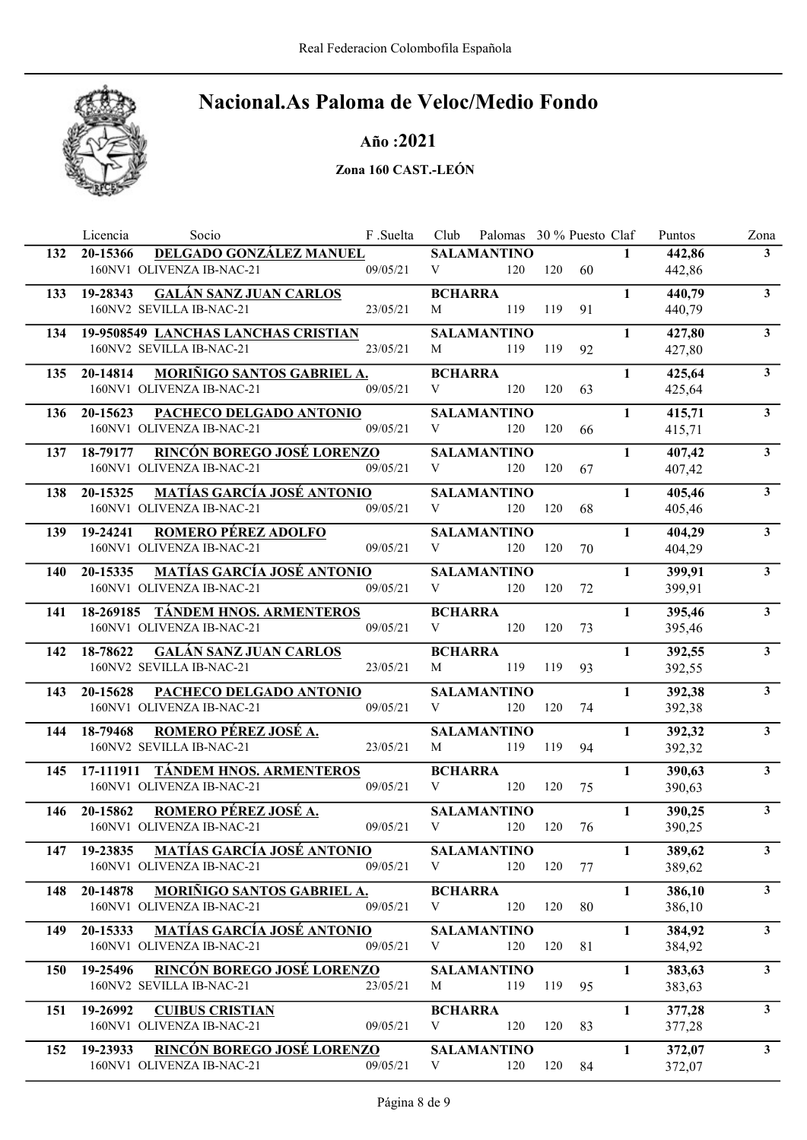

### Año :2021

|            | Licencia<br>Socio                                                | F.Suelta | Club           | Palomas 30 % Puesto Claf  |     |    |              | Puntos           | Zona           |
|------------|------------------------------------------------------------------|----------|----------------|---------------------------|-----|----|--------------|------------------|----------------|
| 132        | DELGADO GONZÁLEZ MANUEL<br>20-15366<br>160NV1 OLIVENZA IB-NAC-21 | 09/05/21 | V              | <b>SALAMANTINO</b>        |     |    | $\mathbf{1}$ | 442,86           | 3 <sup>1</sup> |
|            |                                                                  |          |                | 120                       | 120 | 60 |              | 442,86           |                |
| 133        | <b>GALÁN SANZ JUAN CARLOS</b><br>19-28343                        |          | <b>BCHARRA</b> |                           |     |    | $\mathbf{1}$ | 440,79           | 3 <sup>1</sup> |
|            | 160NV2 SEVILLA IB-NAC-21                                         | 23/05/21 | M              | 119                       | 119 | 91 |              | 440,79           |                |
| 134        | 19-9508549 LANCHAS LANCHAS CRISTIAN                              |          |                | <b>SALAMANTINO</b>        |     |    | $\mathbf{1}$ | 427,80           | $3^{\circ}$    |
|            | 160NV2 SEVILLA IB-NAC-21                                         | 23/05/21 | M              | 119                       | 119 | 92 |              | 427,80           |                |
| 135        | MORIÑIGO SANTOS GABRIEL A.<br>20-14814                           |          | <b>BCHARRA</b> |                           |     |    | $\mathbf{1}$ | 425,64           | 3 <sup>1</sup> |
|            | 160NV1 OLIVENZA IB-NAC-21                                        | 09/05/21 | V              | 120                       | 120 | 63 |              | 425,64           |                |
| 136        | 20-15623<br>PACHECO DELGADO ANTONIO                              |          |                | <b>SALAMANTINO</b>        |     |    | $\mathbf{1}$ | 415,71           | 3 <sup>1</sup> |
|            | 160NV1 OLIVENZA IB-NAC-21                                        | 09/05/21 | V              | 120                       | 120 | 66 |              | 415,71           |                |
| 137        | <b>RINCÓN BOREGO JOSÉ LORENZO</b><br>18-79177                    |          |                | <b>SALAMANTINO</b>        |     |    | $\mathbf{1}$ | 407,42           | $\mathbf{3}$   |
|            | 160NV1 OLIVENZA IB-NAC-21                                        | 09/05/21 | V              | 120                       | 120 | 67 |              | 407,42           |                |
| 138        | <b>MATÍAS GARCÍA JOSÉ ANTONIO</b><br>20-15325                    |          |                | <b>SALAMANTINO</b>        |     |    | $\mathbf{1}$ | 405,46           | $\mathbf{3}$   |
|            | 160NV1 OLIVENZA IB-NAC-21                                        | 09/05/21 | V              | 120                       | 120 | 68 |              | 405,46           |                |
| 139        | <b>ROMERO PÉREZ ADOLFO</b><br>19-24241                           |          |                | <b>SALAMANTINO</b>        |     |    | $\mathbf{1}$ | 404,29           | $\mathbf{3}$   |
|            | 160NV1 OLIVENZA IB-NAC-21                                        | 09/05/21 | V              | 120                       | 120 | 70 |              | 404,29           |                |
| 140        | <b>MATÍAS GARCÍA JOSÉ ANTONIO</b><br>20-15335                    |          |                | <b>SALAMANTINO</b>        |     |    | $\mathbf{1}$ | 399,91           | $\mathbf{3}$   |
|            | 160NV1 OLIVENZA IB-NAC-21                                        | 09/05/21 | V              | 120                       | 120 | 72 |              | 399,91           |                |
| 141        | 18-269185 TÁNDEM HNOS. ARMENTEROS                                |          | <b>BCHARRA</b> |                           |     |    | $\mathbf{1}$ | 395,46           | 3 <sup>1</sup> |
|            | 160NV1 OLIVENZA IB-NAC-21                                        | 09/05/21 | V              | 120                       | 120 | 73 |              | 395,46           |                |
| 142        | <b>GALÁN SANZ JUAN CARLOS</b><br>18-78622                        |          | <b>BCHARRA</b> |                           |     |    | $\mathbf{1}$ | 392,55           | 3 <sup>1</sup> |
|            | 160NV2 SEVILLA IB-NAC-21                                         | 23/05/21 | M              | 119                       | 119 | 93 |              | 392,55           |                |
|            |                                                                  |          |                |                           |     |    |              |                  |                |
| 143        | PACHECO DELGADO ANTONIO<br>20-15628<br>160NV1 OLIVENZA IB-NAC-21 | 09/05/21 | V              | <b>SALAMANTINO</b><br>120 | 120 | 74 | 1            | 392,38<br>392,38 | $\mathbf{3}$   |
|            |                                                                  |          |                |                           |     |    |              |                  |                |
| 144        | ROMERO PÉREZ JOSÉ A.<br>18-79468<br>160NV2 SEVILLA IB-NAC-21     |          |                | <b>SALAMANTINO</b>        |     |    | 1            | 392,32           | 3 <sup>1</sup> |
|            |                                                                  | 23/05/21 | M              | 119                       | 119 | 94 |              | 392,32           |                |
| 145        | <b>TÁNDEM HNOS. ARMENTEROS</b><br>17-111911                      |          | <b>BCHARRA</b> |                           |     |    | 1            | 390,63           | $3^{\circ}$    |
|            | 160NV1 OLIVENZA IB-NAC-21                                        | 09/05/21 | V              | 120                       | 120 | 75 |              | 390,63           |                |
| 146        | 20-15862<br>ROMERO PÉREZ JOSÉ A.                                 |          |                | <b>SALAMANTINO</b>        |     |    | $\mathbf{1}$ | 390,25           | $\mathbf{3}$   |
|            | 160NV1 OLIVENZA IB-NAC-21                                        | 09/05/21 | V              | 120                       | 120 | 76 |              | 390,25           |                |
|            | 147 19-23835 MATÍAS GARCÍA JOSÉ ANTONIO                          |          |                | <b>SALAMANTINO</b>        |     |    | $\mathbf{1}$ | 389,62           | $\mathbf{3}$   |
|            | 160NV1 OLIVENZA IB-NAC-21                                        | 09/05/21 | V              | 120                       | 120 | 77 |              | 389,62           |                |
| 148        | <b>MORIÑIGO SANTOS GABRIEL A.</b><br>20-14878                    |          | <b>BCHARRA</b> |                           |     |    | $\mathbf{1}$ | 386,10           | $\mathbf{3}$   |
|            | 160NV1 OLIVENZA IB-NAC-21                                        | 09/05/21 | V              | 120                       | 120 | 80 |              | 386,10           |                |
| 149        | <b>MATÍAS GARCÍA JOSÉ ANTONIO</b><br>20-15333                    |          |                | <b>SALAMANTINO</b>        |     |    | $\mathbf{1}$ | 384,92           | $\mathbf{3}$   |
|            | 160NV1 OLIVENZA IB-NAC-21                                        | 09/05/21 | V              | 120                       | 120 | 81 |              | 384,92           |                |
| <b>150</b> | 19-25496 RINCÓN BOREGO JOSÉ LORENZO                              |          |                | <b>SALAMANTINO</b>        |     |    | $\mathbf{1}$ | 383,63           | 3 <sup>1</sup> |
|            | 160NV2 SEVILLA IB-NAC-21                                         | 23/05/21 | M              | 119                       | 119 | 95 |              | 383,63           |                |
| 151        | 19-26992<br><b>CUIBUS CRISTIAN</b>                               |          | <b>BCHARRA</b> |                           |     |    | $\mathbf{1}$ | 377,28           | 3 <sup>1</sup> |
|            | 160NV1 OLIVENZA IB-NAC-21                                        | 09/05/21 | V              | 120                       | 120 | 83 |              | 377,28           |                |
|            |                                                                  |          |                |                           |     |    |              |                  |                |
| 152        | 19-23933 RINCÓN BOREGO JOSÉ LORENZO<br>160NV1 OLIVENZA IB-NAC-21 | 09/05/21 | V              | <b>SALAMANTINO</b><br>120 | 120 | 84 | $\mathbf{1}$ | 372,07           | 3 <sup>1</sup> |
|            |                                                                  |          |                |                           |     |    |              | 372,07           |                |